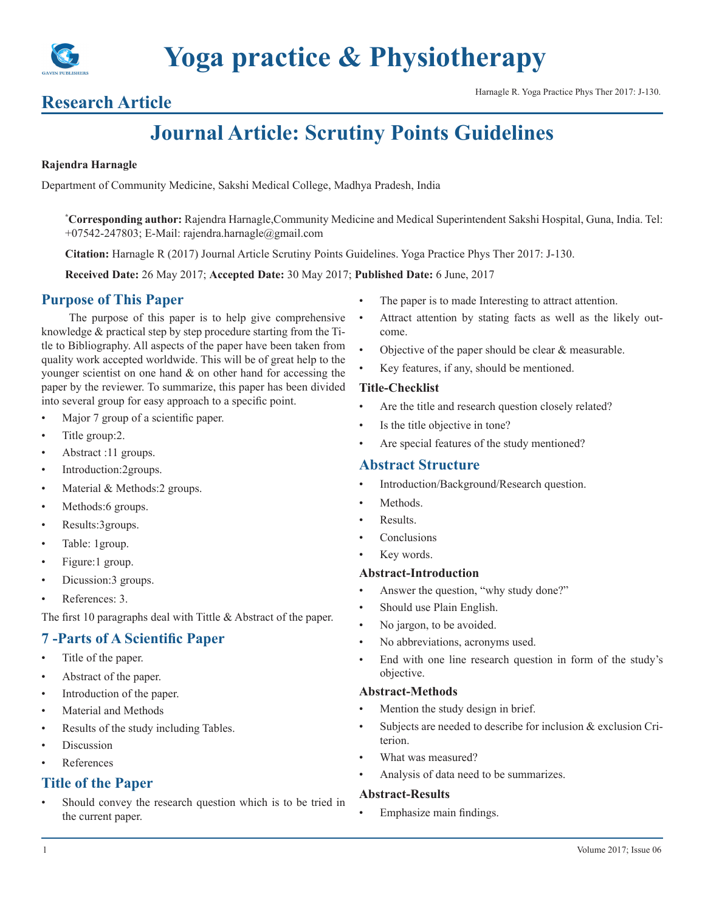

# **Research Article Harnagle R. Yoga Practice Phys Ther 2017: J-130.**

# **Journal Article: Scrutiny Points Guidelines**

#### **Rajendra Harnagle**

Department of Community Medicine, Sakshi Medical College, Madhya Pradesh, India

**\* Corresponding author:** Rajendra Harnagle,Community Medicine and Medical Superintendent Sakshi Hospital, Guna, India. Tel: +07542-247803; E-Mail: rajendra.harnagle@gmail.com

**Citation:** Harnagle R (2017) Journal Article Scrutiny Points Guidelines. Yoga Practice Phys Ther 2017: J-130.

**Received Date:** 26 May 2017; **Accepted Date:** 30 May 2017; **Published Date:** 6 June, 2017

# **Purpose of This Paper**

The purpose of this paper is to help give comprehensive knowledge & practical step by step procedure starting from the Title to Bibliography. All aspects of the paper have been taken from quality work accepted worldwide. This will be of great help to the younger scientist on one hand & on other hand for accessing the paper by the reviewer. To summarize, this paper has been divided into several group for easy approach to a specific point.

- Major 7 group of a scientific paper.
- Title group: 2.
- Abstract :11 groups.
- Introduction:2groups.
- Material & Methods:2 groups.
- Methods:6 groups.
- Results:3groups.
- Table: 1group.
- Figure:1 group.
- Dicussion:3 groups.
- References: 3.

The first 10 paragraphs deal with Tittle & Abstract of the paper.

# **7 -Parts of A Scientific Paper**

- Title of the paper.
- Abstract of the paper.
- Introduction of the paper.
- Material and Methods
- Results of the study including Tables.
- **Discussion**
- **References**

# **Title of the Paper**

Should convey the research question which is to be tried in the current paper.

- The paper is to made Interesting to attract attention.
- Attract attention by stating facts as well as the likely outcome.
- Objective of the paper should be clear & measurable.
- Key features, if any, should be mentioned.

#### **Title-Checklist**

- Are the title and research question closely related?
- Is the title objective in tone?
- Are special features of the study mentioned?

# **Abstract Structure**

- Introduction/Background/Research question.
- Methods.
- Results.
- **Conclusions**
- Key words.

#### **Abstract-Introduction**

- Answer the question, "why study done?"
- Should use Plain English.
- No jargon, to be avoided.
- No abbreviations, acronyms used.
- End with one line research question in form of the study's objective.

#### **Abstract-Methods**

- Mention the study design in brief.
- Subjects are needed to describe for inclusion & exclusion Criterion.
- What was measured?
- Analysis of data need to be summarizes.

# **Abstract-Results**

Emphasize main findings.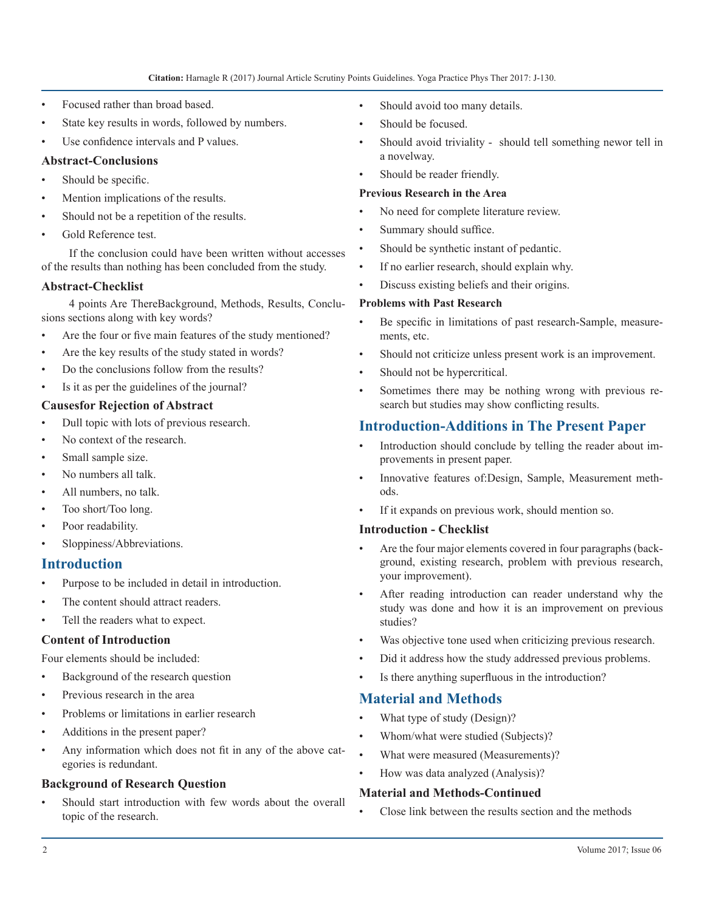- Focused rather than broad based.
- State key results in words, followed by numbers.
- Use confidence intervals and P values.

### **Abstract-Conclusions**

- Should be specific.
- Mention implications of the results.
- Should not be a repetition of the results.
- Gold Reference test.

If the conclusion could have been written without accesses of the results than nothing has been concluded from the study.

#### **Abstract-Checklist**

4 points Are ThereBackground, Methods, Results, Conclusions sections along with key words?

- Are the four or five main features of the study mentioned?
- Are the key results of the study stated in words?
- Do the conclusions follow from the results?
- Is it as per the guidelines of the journal?

# **Causesfor Rejection of Abstract**

- Dull topic with lots of previous research.
- No context of the research.
- Small sample size.
- No numbers all talk.
- All numbers, no talk.
- Too short/Too long.
- Poor readability.
- Sloppiness/Abbreviations.

# **Introduction**

- Purpose to be included in detail in introduction.
- The content should attract readers.
- Tell the readers what to expect.

# **Content of Introduction**

Four elements should be included:

- Background of the research question
- Previous research in the area
- Problems or limitations in earlier research
- Additions in the present paper?
- Any information which does not fit in any of the above categories is redundant.

# **Background of Research Question**

Should start introduction with few words about the overall topic of the research.

- Should avoid too many details.
- Should be focused.
- Should avoid triviality should tell something newor tell in a novelway.
- Should be reader friendly.

#### **Previous Research in the Area**

- No need for complete literature review.
- Summary should suffice.
- Should be synthetic instant of pedantic.
- If no earlier research, should explain why.
- Discuss existing beliefs and their origins.

#### **Problems with Past Research**

- Be specific in limitations of past research-Sample, measurements, etc.
- Should not criticize unless present work is an improvement.
- Should not be hypercritical.
- Sometimes there may be nothing wrong with previous research but studies may show conflicting results.

# **Introduction-Additions in The Present Paper**

- Introduction should conclude by telling the reader about improvements in present paper.
- Innovative features of:Design, Sample, Measurement methods.
- If it expands on previous work, should mention so.

#### **Introduction - Checklist**

- Are the four major elements covered in four paragraphs (background, existing research, problem with previous research, your improvement).
- After reading introduction can reader understand why the study was done and how it is an improvement on previous studies?
- Was objective tone used when criticizing previous research.
- Did it address how the study addressed previous problems.
- Is there anything superfluous in the introduction?

# **Material and Methods**

- What type of study (Design)?
- Whom/what were studied (Subjects)?
- What were measured (Measurements)?
- How was data analyzed (Analysis)?

# **Material and Methods-Continued**

• Close link between the results section and the methods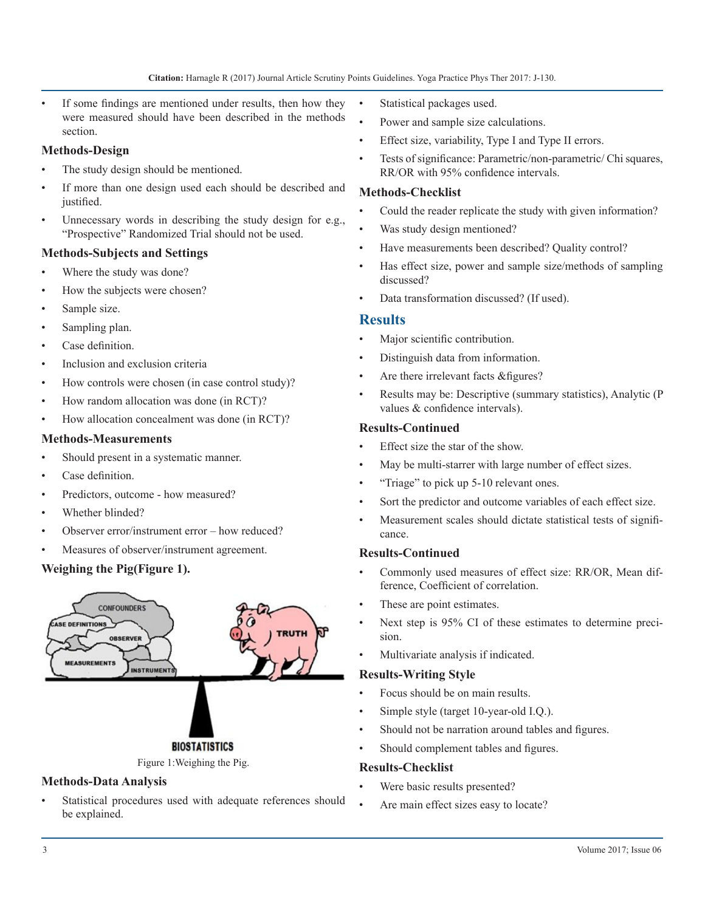If some findings are mentioned under results, then how they were measured should have been described in the methods section.

#### **Methods-Design**

- The study design should be mentioned.
- If more than one design used each should be described and justified.
- Unnecessary words in describing the study design for e.g., "Prospective" Randomized Trial should not be used.

#### **Methods-Subjects and Settings**

- Where the study was done?
- How the subjects were chosen?
- Sample size.
- Sampling plan.
- Case definition.
- Inclusion and exclusion criteria
- How controls were chosen (in case control study)?
- How random allocation was done (in RCT)?
- How allocation concealment was done (in RCT)?

#### **Methods-Measurements**

- Should present in a systematic manner.
- Case definition.
- Predictors, outcome how measured?
- Whether blinded?
- Observer error/instrument error how reduced?
- Measures of observer/instrument agreement.

# **Weighing the Pig(Figure 1).**



#### **Methods-Data Analysis**

Statistical procedures used with adequate references should be explained.

- Statistical packages used.
- Power and sample size calculations.
- Effect size, variability, Type I and Type II errors.
- Tests of significance: Parametric/non-parametric/ Chi squares, RR/OR with 95% confidence intervals.

#### **Methods-Checklist**

- Could the reader replicate the study with given information?
- Was study design mentioned?
- Have measurements been described? Quality control?
- Has effect size, power and sample size/methods of sampling discussed?
- Data transformation discussed? (If used).

#### **Results**

- Major scientific contribution.
- Distinguish data from information.
- Are there irrelevant facts & figures?
- Results may be: Descriptive (summary statistics), Analytic (P values & confidence intervals).

#### **Results-Continued**

- Effect size the star of the show.
- May be multi-starrer with large number of effect sizes.
- "Triage" to pick up 5-10 relevant ones.
- Sort the predictor and outcome variables of each effect size.
- Measurement scales should dictate statistical tests of significance.

#### **Results-Continued**

- Commonly used measures of effect size: RR/OR, Mean difference, Coefficient of correlation.
- These are point estimates.
- Next step is 95% CI of these estimates to determine precision.
- Multivariate analysis if indicated.

#### **Results-Writing Style**

- Focus should be on main results.
- Simple style (target 10-year-old I.Q.).
- Should not be narration around tables and figures.
- Should complement tables and figures.

#### **Results-Checklist**

- Were basic results presented?
- Are main effect sizes easy to locate?